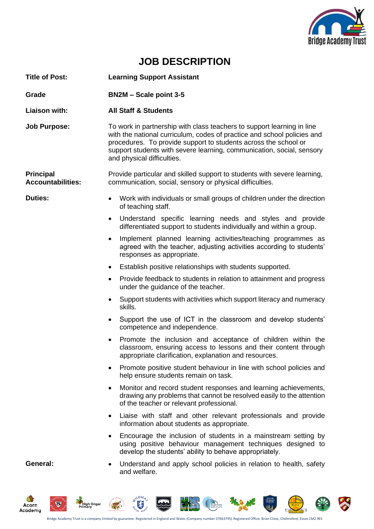

RA

## **JOB DESCRIPTION**

| <b>Title of Post:</b>                        | <b>Learning Support Assistant</b>                                                                                                                                                                                                                                                                                           |  |  |
|----------------------------------------------|-----------------------------------------------------------------------------------------------------------------------------------------------------------------------------------------------------------------------------------------------------------------------------------------------------------------------------|--|--|
| Grade                                        | <b>BN2M - Scale point 3-5</b>                                                                                                                                                                                                                                                                                               |  |  |
| <b>Liaison with:</b>                         | <b>All Staff &amp; Students</b>                                                                                                                                                                                                                                                                                             |  |  |
| <b>Job Purpose:</b>                          | To work in partnership with class teachers to support learning in line<br>with the national curriculum, codes of practice and school policies and<br>procedures. To provide support to students across the school or<br>support students with severe learning, communication, social, sensory<br>and physical difficulties. |  |  |
| <b>Principal</b><br><b>Accountabilities:</b> | Provide particular and skilled support to students with severe learning,<br>communication, social, sensory or physical difficulties.                                                                                                                                                                                        |  |  |
| <b>Duties:</b>                               | Work with individuals or small groups of children under the direction<br>of teaching staff.                                                                                                                                                                                                                                 |  |  |
|                                              | Understand specific learning needs and styles and provide<br>$\bullet$<br>differentiated support to students individually and within a group.                                                                                                                                                                               |  |  |
|                                              | Implement planned learning activities/teaching programmes as<br>$\bullet$<br>agreed with the teacher, adjusting activities according to students'<br>responses as appropriate.                                                                                                                                              |  |  |
|                                              | Establish positive relationships with students supported.<br>$\bullet$                                                                                                                                                                                                                                                      |  |  |
|                                              | Provide feedback to students in relation to attainment and progress<br>$\bullet$<br>under the guidance of the teacher.                                                                                                                                                                                                      |  |  |
|                                              | • Support students with activities which support literacy and numeracy<br>skills.                                                                                                                                                                                                                                           |  |  |
|                                              | Support the use of ICT in the classroom and develop students'<br>$\bullet$<br>competence and independence.                                                                                                                                                                                                                  |  |  |
|                                              | Promote the inclusion and acceptance of children within the<br>$\bullet$<br>classroom, ensuring access to lessons and their content through<br>appropriate clarification, explanation and resources.                                                                                                                        |  |  |
|                                              | Promote positive student behaviour in line with school policies and<br>help ensure students remain on task.                                                                                                                                                                                                                 |  |  |
|                                              | Monitor and record student responses and learning achievements,<br>$\bullet$<br>drawing any problems that cannot be resolved easily to the attention<br>of the teacher or relevant professional.                                                                                                                            |  |  |
|                                              | Liaise with staff and other relevant professionals and provide<br>$\bullet$<br>information about students as appropriate.                                                                                                                                                                                                   |  |  |
|                                              | Encourage the inclusion of students in a mainstream setting by<br>$\bullet$<br>using positive behaviour management techniques designed to<br>develop the students' ability to behave appropriately.                                                                                                                         |  |  |
| General:                                     | Understand and apply school policies in relation to health, safety<br>$\bullet$<br>and welfare.                                                                                                                                                                                                                             |  |  |



 $\bullet$ 

 $\frac{1}{2}$ 

**REGISTER** 

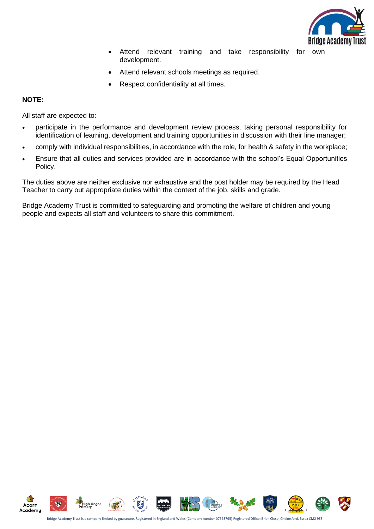

- Attend relevant training and take responsibility for own development.
- Attend relevant schools meetings as required.
- Respect confidentiality at all times.

## **NOTE:**

All staff are expected to:

- participate in the performance and development review process, taking personal responsibility for identification of learning, development and training opportunities in discussion with their line manager;
- comply with individual responsibilities, in accordance with the role, for health & safety in the workplace;
- Ensure that all duties and services provided are in accordance with the school's Equal Opportunities Policy.

The duties above are neither exclusive nor exhaustive and the post holder may be required by the Head Teacher to carry out appropriate duties within the context of the job, skills and grade.

Bridge Academy Trust is committed to safeguarding and promoting the welfare of children and young people and expects all staff and volunteers to share this commitment.